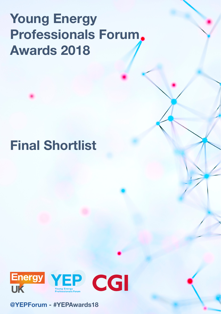# Young Energy Professionals Forum Awards 2018

# Final Shortlist



[@YEPForum](https://twitter.com/YEPForum) - #YEPAwards18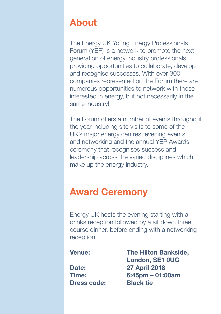# About

The Energy UK Young Energy Professionals Forum (YEP) is a network to promote the next generation of energy industry professionals, providing opportunities to collaborate, develop and recognise successes. With over 300 companies represented on the Forum there are numerous opportunities to network with those interested in energy, but not necessarily in the same industry!

The Forum offers a number of events throughout the year including site visits to some of the UK's major energy centres, evening events and networking and the annual YEP Awards ceremony that recognises success and leadership across the varied disciplines which make up the energy industry.

# Award Ceremony

Energy UK hosts the evening starting with a drinks reception followed by a sit down three course dinner, before ending with a networking reception.

Dress code: Black tie

Venue: The Hilton Bankside, London, SE1 0UG Date: 27 April 2018 Time: 6:45pm – 01:00am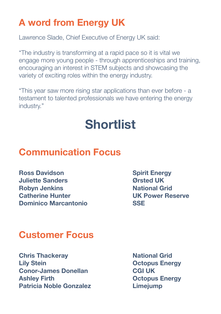# A word from Energy UK

Lawrence Slade, Chief Executive of Energy UK said:

"The industry is transforming at a rapid pace so it is vital we engage more young people - through apprenticeships and training, encouraging an interest in STEM subjects and showcasing the variety of exciting roles within the energy industry.

"This year saw more rising star applications than ever before - a testament to talented professionals we have entering the energy industry."

# Shortlist

# Communication Focus

**Ross Davidson** Spirit Energy Juliette Sanders Ørsted UK **Robyn Jenkins** National Grid Catherine Hunter UK Power Reserve Dominico Marcantonio SSE

# Customer Focus

**Chris Thackeray Chris Thackeray National Grid** Lily Stein Octopus Energy Conor-James Donellan CGI UK Ashley Firth **Calculation Controller Controller Controller Controller Controller Controller Controller Controller Controller Controller Controller Controller Controller Controller Controller Controller Controller Controlle** Patricia Noble Gonzalez **Limeiump**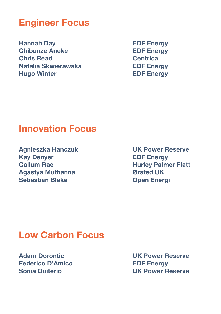## Engineer Focus

Hannah Day **EDF Energy** Chibunze Aneke EDF Energy Chris Read Centrica Natalia Skwierawska<br>
EDF Energy Hugo Winter **EDF** Energy

### Innovation Focus

Agnieszka Hanczuk UK Power Reserve Kay Denyer **EDF** Energy Callum Rae **Hurley Palmer Flatt** Agastya Muthanna Ørsted UK Sebastian Blake **Open Energi** 

### Low Carbon Focus

Federico D'Amico **EDF Energy** 

Adam Dorontic UK Power Reserve Sonia Quiterio UK Power Reserve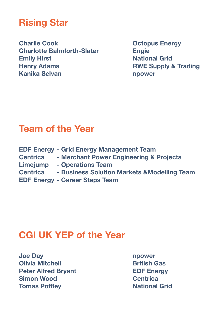# Rising Star

Charlie Cook **Octopus Energy** Charlotte Balmforth-Slater Engie **Emily Hirst National Grid** National Grid Henry Adams **RWE Supply & Trading** Kanika Selvan **nu manalisis na kanalisis na kanalisis na kan**alisis na kanalisis na kanalisis na kanalisis na k

### Team of the Year

|                 | <b>EDF Energy - Grid Energy Management Team</b> |
|-----------------|-------------------------------------------------|
| Centrica        | - Merchant Power Engineering & Projects         |
| Limejump        | - Operations Team                               |
| <b>Centrica</b> | - Business Solution Markets & Modelling Team    |
|                 | <b>EDF Energy - Career Steps Team</b>           |

## CGI UK YEP of the Year

Joe Day npower **Olivia Mitchell Contract Dividends Contract Dividends Dividends Contract Dividends Contract Dividends Contract** Peter Alfred Brvant EDF Energy Simon Wood Centrica Tomas Poffley **National Grid** National Grid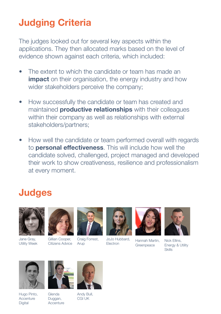# Judging Criteria

The judges looked out for several key aspects within the applications. They then allocated marks based on the level of evidence shown against each criteria, which included:

- The extent to which the candidate or team has made an **impact** on their organisation, the energy industry and how wider stakeholders perceive the company;
- How successfully the candidate or team has created and maintained **productive relationships** with their colleagues within their company as well as relationships with external stakeholders/partners;
- How well the candidate or team performed overall with regards to **personal effectiveness**. This will include how well the candidate solved, challenged, project managed and developed their work to show creativeness, resilience and professionalism at every moment.

## **Judges**



Jane Gray, Utility Week



Gillian Cooper, Citizens Advice



Craig Forrest, Arup



JoJo Hubbard, JoJo Hubbard, Hannah Martin,



**Greenpeace** 



Nick Ellins, Energy & Utility Skills



Hugo Pinto, **Accenture** Digital





CGI UK